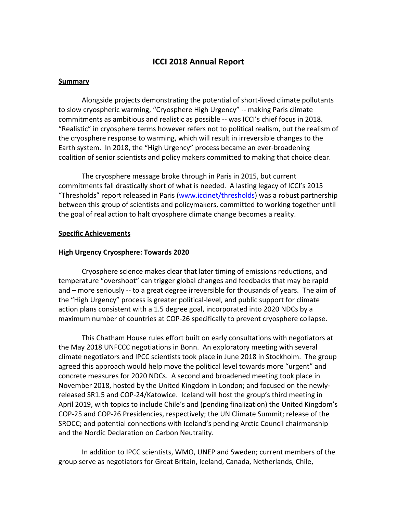# **ICCI 2018 Annual Report**

### **Summary**

Alongside projects demonstrating the potential of short-lived climate pollutants to slow cryospheric warming, "Cryosphere High Urgency" -- making Paris climate commitments as ambitious and realistic as possible -- was ICCI's chief focus in 2018. "Realistic" in cryosphere terms however refers not to political realism, but the realism of the cryosphere response to warming, which will result in irreversible changes to the Earth system. In 2018, the "High Urgency" process became an ever-broadening coalition of senior scientists and policy makers committed to making that choice clear.

The cryosphere message broke through in Paris in 2015, but current commitments fall drastically short of what is needed. A lasting legacy of ICCI's 2015 "Thresholds" report released in Paris (www.iccinet/thresholds) was a robust partnership between this group of scientists and policymakers, committed to working together until the goal of real action to halt cryosphere climate change becomes a reality.

# **Specific Achievements**

### **High Urgency Cryosphere: Towards 2020**

Cryosphere science makes clear that later timing of emissions reductions, and temperature "overshoot" can trigger global changes and feedbacks that may be rapid and – more seriously  $-$  to a great degree irreversible for thousands of years. The aim of the "High Urgency" process is greater political-level, and public support for climate action plans consistent with a 1.5 degree goal, incorporated into 2020 NDCs by a maximum number of countries at COP-26 specifically to prevent cryosphere collapse.

This Chatham House rules effort built on early consultations with negotiators at the May 2018 UNFCCC negotiations in Bonn. An exploratory meeting with several climate negotiators and IPCC scientists took place in June 2018 in Stockholm. The group agreed this approach would help move the political level towards more "urgent" and concrete measures for 2020 NDCs. A second and broadened meeting took place in November 2018, hosted by the United Kingdom in London; and focused on the newlyreleased SR1.5 and COP-24/Katowice. Iceland will host the group's third meeting in April 2019, with topics to include Chile's and (pending finalization) the United Kingdom's COP-25 and COP-26 Presidencies, respectively; the UN Climate Summit; release of the SROCC; and potential connections with Iceland's pending Arctic Council chairmanship and the Nordic Declaration on Carbon Neutrality.

In addition to IPCC scientists, WMO, UNEP and Sweden; current members of the group serve as negotiators for Great Britain, Iceland, Canada, Netherlands, Chile,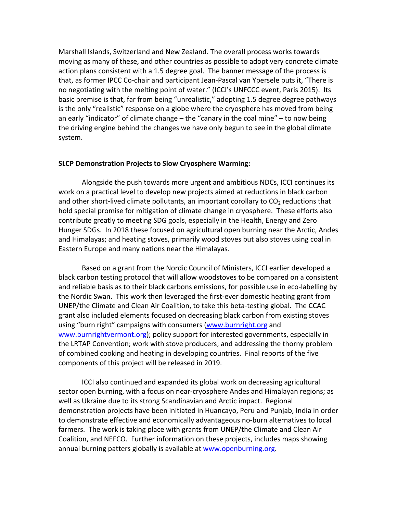Marshall Islands, Switzerland and New Zealand. The overall process works towards moving as many of these, and other countries as possible to adopt very concrete climate action plans consistent with a 1.5 degree goal. The banner message of the process is that, as former IPCC Co-chair and participant Jean-Pascal van Ypersele puts it, "There is no negotiating with the melting point of water." (ICCI's UNFCCC event, Paris 2015). Its basic premise is that, far from being "unrealistic," adopting 1.5 degree degree pathways is the only "realistic" response on a globe where the cryosphere has moved from being an early "indicator" of climate change  $-$  the "canary in the coal mine"  $-$  to now being the driving engine behind the changes we have only begun to see in the global climate system.

#### **SLCP Demonstration Projects to Slow Cryosphere Warming:**

Alongside the push towards more urgent and ambitious NDCs, ICCI continues its work on a practical level to develop new projects aimed at reductions in black carbon and other short-lived climate pollutants, an important corollary to  $CO<sub>2</sub>$  reductions that hold special promise for mitigation of climate change in cryosphere. These efforts also contribute greatly to meeting SDG goals, especially in the Health, Energy and Zero Hunger SDGs. In 2018 these focused on agricultural open burning near the Arctic, Andes and Himalayas; and heating stoves, primarily wood stoves but also stoves using coal in Eastern Europe and many nations near the Himalayas.

Based on a grant from the Nordic Council of Ministers, ICCI earlier developed a black carbon testing protocol that will allow woodstoves to be compared on a consistent and reliable basis as to their black carbons emissions, for possible use in eco-labelling by the Nordic Swan. This work then leveraged the first-ever domestic heating grant from UNEP/the Climate and Clean Air Coalition, to take this beta-testing global. The CCAC grant also included elements focused on decreasing black carbon from existing stoves using "burn right" campaigns with consumers (www.burnright.org and www.burnrightvermont.org); policy support for interested governments, especially in the LRTAP Convention; work with stove producers; and addressing the thorny problem of combined cooking and heating in developing countries. Final reports of the five components of this project will be released in 2019.

ICCI also continued and expanded its global work on decreasing agricultural sector open burning, with a focus on near-cryosphere Andes and Himalayan regions; as well as Ukraine due to its strong Scandinavian and Arctic impact. Regional demonstration projects have been initiated in Huancayo, Peru and Punjab, India in order to demonstrate effective and economically advantageous no-burn alternatives to local farmers. The work is taking place with grants from UNEP/the Climate and Clean Air Coalition, and NEFCO. Further information on these projects, includes maps showing annual burning patters globally is available at www.openburning.org.